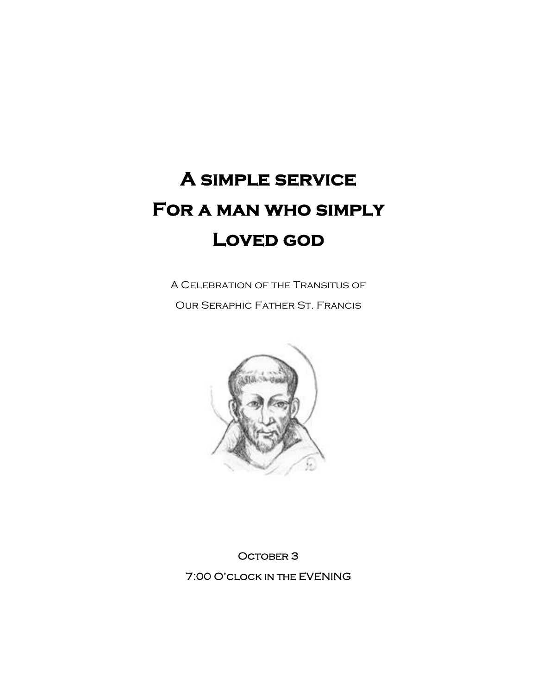# **A simple service For a man who simply Loved god**

A Celebration of the Transitus of Our Seraphic Father St. Francis



OCTOBER 3 7:00 O'clock in the EVENING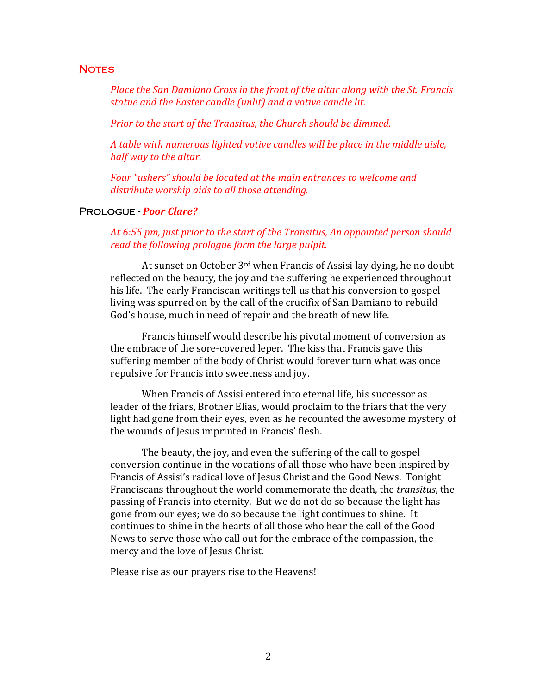#### **NOTES**

*Place the San Damiano Cross in the front of the altar along with the St. Francis statue and the Easter candle (unlit) and a votive candle lit.*

*Prior to the start of the Transitus, the Church should be dimmed.*

*A table with numerous lighted votive candles will be place in the middle aisle, half way to the altar.*

*Four "ushers" should be located at the main entrances to welcome and distribute worship aids to all those attending.*

#### Prologue - *Poor Clare?*

*At 6:55 pm, just prior to the start of the Transitus, An appointed person should read the following prologue form the large pulpit.* 

At sunset on October  $3^{rd}$  when Francis of Assisi lay dying, he no doubt reflected on the beauty, the joy and the suffering he experienced throughout his life. The early Franciscan writings tell us that his conversion to gospel living was spurred on by the call of the crucifix of San Damiano to rebuild God's house, much in need of repair and the breath of new life.

Francis himself would describe his pivotal moment of conversion as the embrace of the sore-covered leper. The kiss that Francis gave this suffering member of the body of Christ would forever turn what was once repulsive for Francis into sweetness and joy.

When Francis of Assisi entered into eternal life, his successor as leader of the friars, Brother Elias, would proclaim to the friars that the very light had gone from their eyes, even as he recounted the awesome mystery of the wounds of Jesus imprinted in Francis' flesh.

The beauty, the joy, and even the suffering of the call to gospel conversion continue in the vocations of all those who have been inspired by Francis of Assisi's radical love of Jesus Christ and the Good News. Tonight Franciscans throughout the world commemorate the death, the *transitus*, the passing of Francis into eternity. But we do not do so because the light has gone from our eyes; we do so because the light continues to shine. It continues to shine in the hearts of all those who hear the call of the Good News to serve those who call out for the embrace of the compassion, the mercy and the love of Jesus Christ.

Please rise as our prayers rise to the Heavens!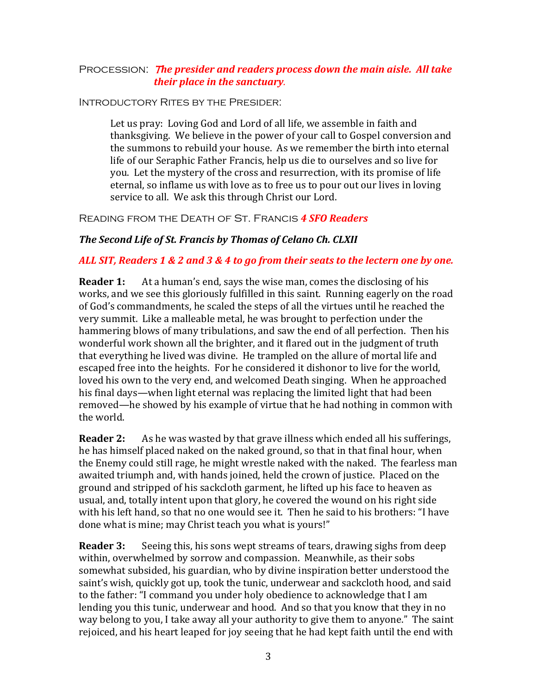#### Procession: T*he presider and readers process down the main aisle. All take their place in the sanctuary.*

#### INTRODUCTORY RITES BY THE PRESIDER:

Let us pray: Loving God and Lord of all life, we assemble in faith and thanksgiving. We believe in the power of your call to Gospel conversion and the summons to rebuild your house. As we remember the birth into eternal life of our Seraphic Father Francis, help us die to ourselves and so live for you. Let the mystery of the cross and resurrection, with its promise of life eternal, so inflame us with love as to free us to pour out our lives in loving service to all. We ask this through Christ our Lord.

#### Reading from the Death of St. Francis *4 SFO Readers*

### *The Second Life of St. Francis by Thomas of Celano Ch. CLXII*

#### ALL SIT, Readers 1 & 2 and 3 & 4 to go from their seats to the lectern one by one.

**Reader 1:** At a human's end, says the wise man, comes the disclosing of his works, and we see this gloriously fulfilled in this saint. Running eagerly on the road of God's commandments, he scaled the steps of all the virtues until he reached the very summit. Like a malleable metal, he was brought to perfection under the hammering blows of many tribulations, and saw the end of all perfection. Then his wonderful work shown all the brighter, and it flared out in the judgment of truth that everything he lived was divine. He trampled on the allure of mortal life and escaped free into the heights. For he considered it dishonor to live for the world, loved his own to the very end, and welcomed Death singing. When he approached his final days—when light eternal was replacing the limited light that had been removed—he showed by his example of virtue that he had nothing in common with the world.

**Reader 2:** As he was wasted by that grave illness which ended all his sufferings, he has himself placed naked on the naked ground, so that in that final hour, when the Enemy could still rage, he might wrestle naked with the naked. The fearless man awaited triumph and, with hands joined, held the crown of justice. Placed on the ground and stripped of his sackcloth garment, he lifted up his face to heaven as usual, and, totally intent upon that glory, he covered the wound on his right side with his left hand, so that no one would see it. Then he said to his brothers: "I have done what is mine; may Christ teach you what is yours!"

**Reader 3:** Seeing this, his sons wept streams of tears, drawing sighs from deep within, overwhelmed by sorrow and compassion. Meanwhile, as their sobs somewhat subsided, his guardian, who by divine inspiration better understood the saint's wish, quickly got up, took the tunic, underwear and sackcloth hood, and said to the father: "I command you under holy obedience to acknowledge that I am lending you this tunic, underwear and hood. And so that you know that they in no way belong to you, I take away all your authority to give them to anyone." The saint rejoiced, and his heart leaped for joy seeing that he had kept faith until the end with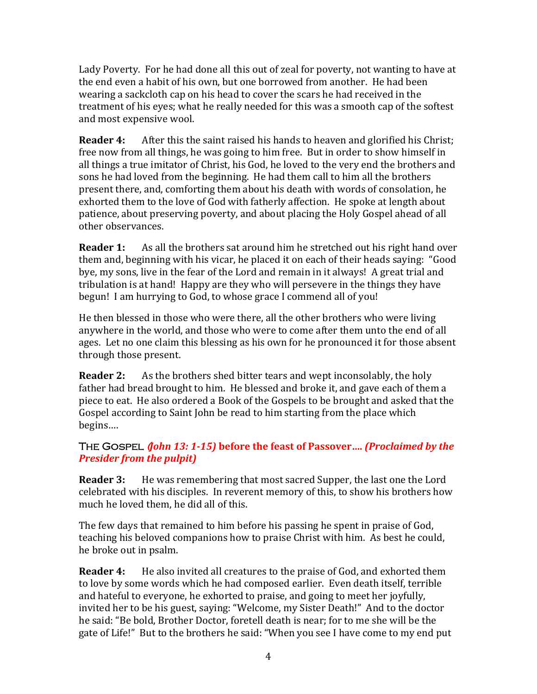Lady Poverty. For he had done all this out of zeal for poverty, not wanting to have at the end even a habit of his own, but one borrowed from another. He had been wearing a sackcloth cap on his head to cover the scars he had received in the treatment of his eyes; what he really needed for this was a smooth cap of the softest and most expensive wool.

**Reader 4:** After this the saint raised his hands to heaven and glorified his Christ; free now from all things, he was going to him free. But in order to show himself in all things a true imitator of Christ, his God, he loved to the very end the brothers and sons he had loved from the beginning. He had them call to him all the brothers present there, and, comforting them about his death with words of consolation, he exhorted them to the love of God with fatherly affection. He spoke at length about patience, about preserving poverty, and about placing the Holy Gospel ahead of all other observances.

**Reader 1:** As all the brothers sat around him he stretched out his right hand over them and, beginning with his vicar, he placed it on each of their heads saying: "Good bye, my sons, live in the fear of the Lord and remain in it always! A great trial and tribulation is at hand! Happy are they who will persevere in the things they have begun! I am hurrying to God, to whose grace I commend all of you!

He then blessed in those who were there, all the other brothers who were living anywhere in the world, and those who were to come after them unto the end of all ages. Let no one claim this blessing as his own for he pronounced it for those absent through those present.

**Reader 2:** As the brothers shed bitter tears and wept inconsolably, the holy father had bread brought to him. He blessed and broke it, and gave each of them a piece to eat. He also ordered a Book of the Gospels to be brought and asked that the Gospel according to Saint John be read to him starting from the place which begins…. 

## The Gospel (*John 13: 1‐15)* **before the feast of Passover….** *(Proclaimed by the Presider from the pulpit)*

**Reader 3:** He was remembering that most sacred Supper, the last one the Lord celebrated with his disciples. In reverent memory of this, to show his brothers how much he loved them, he did all of this.

The few days that remained to him before his passing he spent in praise of God, teaching his beloved companions how to praise Christ with him. As best he could, he broke out in psalm.

**Reader 4:** He also invited all creatures to the praise of God, and exhorted them to love by some words which he had composed earlier. Even death itself, terrible and hateful to everyone, he exhorted to praise, and going to meet her joyfully, invited her to be his guest, saying: "Welcome, my Sister Death!" And to the doctor he said: "Be bold, Brother Doctor, foretell death is near; for to me she will be the gate of Life!" But to the brothers he said: "When you see I have come to my end put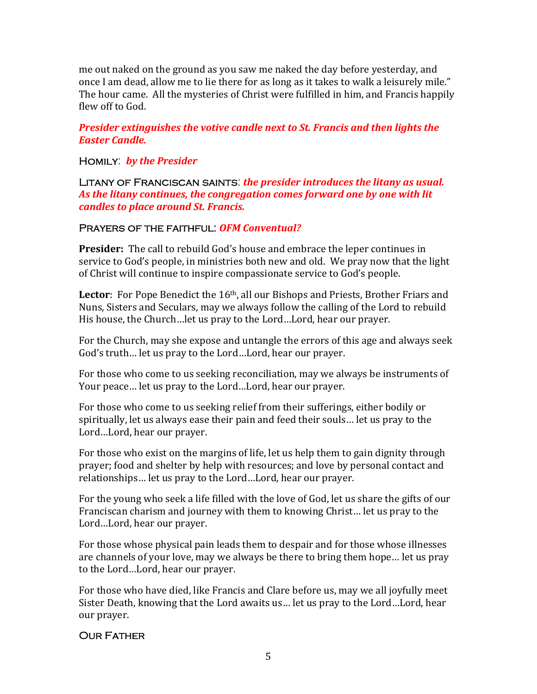me out naked on the ground as you saw me naked the day before yesterday, and once I am dead, allow me to lie there for as long as it takes to walk a leisurely mile." The hour came. All the mysteries of Christ were fulfilled in him, and Francis happily flew off to God.

#### *Presider extinguishes the votive candle next to St. Francis and then lights the Easter Candle.*

Homily: *by the Presider*

Litany of Franciscan saints: *the presider introduces the litany as usual. As the litany continues, the congregation comes forward one by one with lit candles to place around St. Francis.*

### Prayers of the faithful: *OFM Conventual?*

**Presider:** The call to rebuild God's house and embrace the leper continues in service to God's people, in ministries both new and old. We pray now that the light of Christ will continue to inspire compassionate service to God's people.

**Lector**: For Pope Benedict the 16<sup>th</sup>, all our Bishops and Priests, Brother Friars and Nuns, Sisters and Seculars, may we always follow the calling of the Lord to rebuild His house, the Church…let us pray to the Lord…Lord, hear our prayer.

For the Church, may she expose and untangle the errors of this age and always seek God's truth... let us pray to the Lord...Lord, hear our prayer.

For those who come to us seeking reconciliation, may we always be instruments of Your peace... let us pray to the Lord...Lord, hear our prayer.

For those who come to us seeking relief from their sufferings, either bodily or spiritually, let us always ease their pain and feed their souls... let us pray to the Lord...Lord, hear our prayer.

For those who exist on the margins of life, let us help them to gain dignity through prayer; food and shelter by help with resources; and love by personal contact and relationships... let us pray to the Lord...Lord, hear our prayer.

For the young who seek a life filled with the love of God, let us share the gifts of our Franciscan charism and journey with them to knowing Christ... let us pray to the Lord...Lord, hear our prayer.

For those whose physical pain leads them to despair and for those whose illnesses are channels of your love, may we always be there to bring them hope... let us pray to the Lord...Lord, hear our prayer.

For those who have died, like Francis and Clare before us, may we all joyfully meet Sister Death, knowing that the Lord awaits us... let us pray to the Lord...Lord, hear our prayer.

# **OUR FATHER**